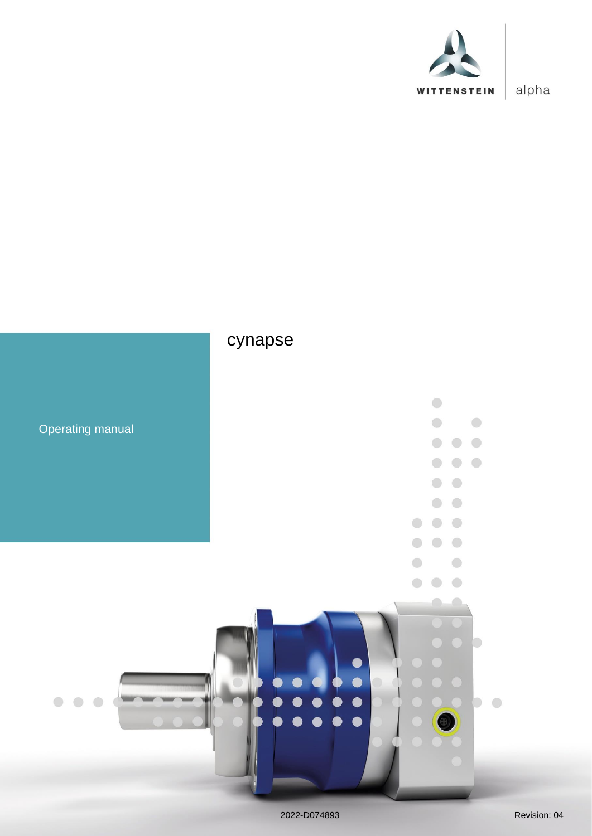

alpha

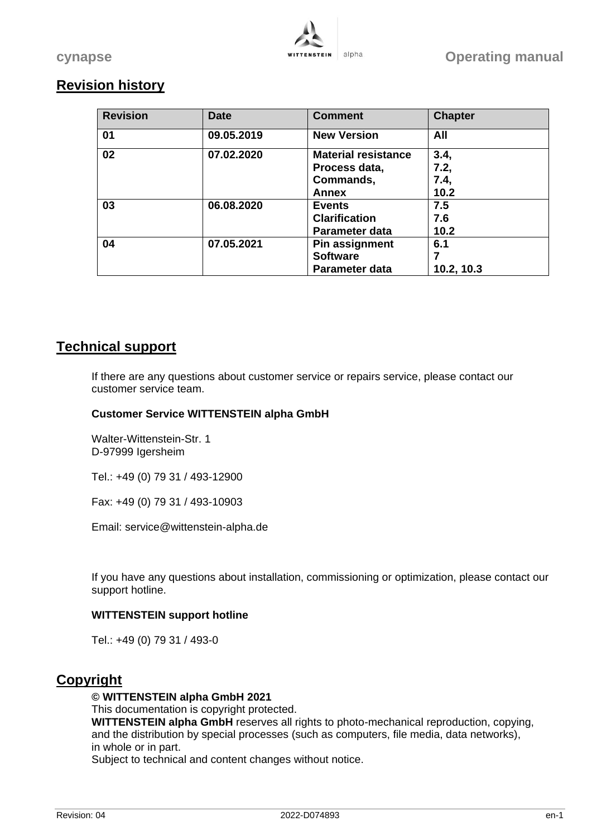# **Revision history**

| <b>Revision</b> | <b>Date</b> | <b>Comment</b>                                                    | <b>Chapter</b>               |
|-----------------|-------------|-------------------------------------------------------------------|------------------------------|
| 01              | 09.05.2019  | <b>New Version</b>                                                | All                          |
| 02              | 07.02.2020  | <b>Material resistance</b><br>Process data,<br>Commands,<br>Annex | 3.4,<br>7.2,<br>7.4,<br>10.2 |
| 03              | 06.08.2020  | <b>Events</b><br><b>Clarification</b><br>Parameter data           | 7.5<br>7.6<br>10.2           |
| 04              | 07.05.2021  | Pin assignment<br><b>Software</b><br>Parameter data               | 6.1<br>10.2, 10.3            |

# **Technical support**

If there are any questions about customer service or repairs service, please contact our customer service team.

#### **Customer Service WITTENSTEIN alpha GmbH**

Walter-Wittenstein-Str. 1 D-97999 Igersheim

Tel.: +49 (0) 79 31 / 493-12900

Fax: +49 (0) 79 31 / 493-10903

Email: service@wittenstein-alpha.de

If you have any questions about installation, commissioning or optimization, please contact our support hotline.

#### **WITTENSTEIN support hotline**

Tel.: +49 (0) 79 31 / 493-0

# **Copyright**

#### **© WITTENSTEIN alpha GmbH 2021**

This documentation is copyright protected. **WITTENSTEIN alpha GmbH** reserves all rights to photo-mechanical reproduction, copying, and the distribution by special processes (such as computers, file media, data networks), in whole or in part.

Subject to technical and content changes without notice.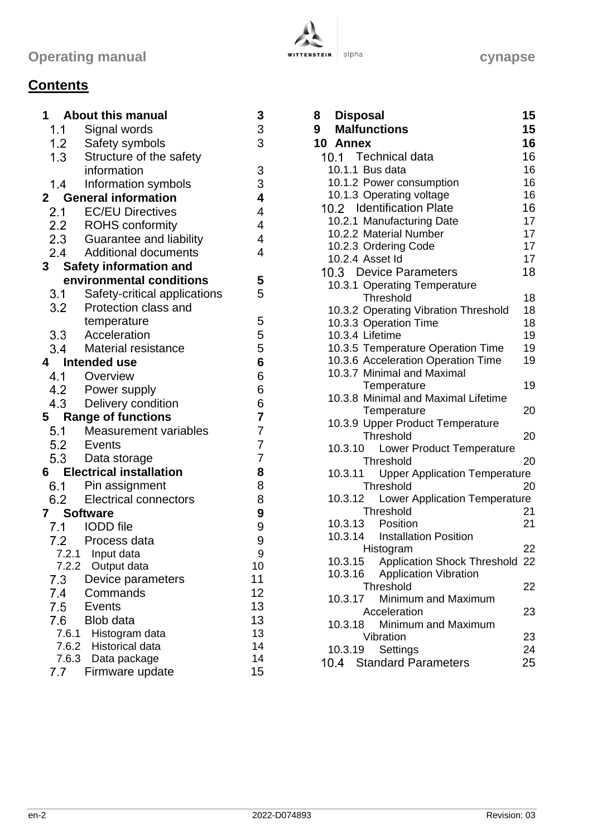# **Contents**

|            | 1 About this manual                               | 3                        |
|------------|---------------------------------------------------|--------------------------|
|            | 1.1 Signal words                                  | 3                        |
|            |                                                   | 3                        |
|            | 1.2 Safety symbols<br>1.3 Structure of the safety |                          |
|            | information                                       | 3                        |
| 1.4        | Information symbols                               | 3                        |
|            | 2 General information                             | 4                        |
|            | 2.1 EC/EU Directives                              | 4                        |
|            | 2.2 ROHS conformity                               | $\overline{\mathcal{A}}$ |
|            | 2.3 Guarantee and liability                       | $\overline{\mathbf{4}}$  |
|            | 2.4 Additional documents                          | 4                        |
|            | 3 Safety information and                          |                          |
|            | environmental conditions                          | 5                        |
|            | 3.1 Safety-critical applications                  | 5                        |
|            | 3.2 Protection class and                          |                          |
|            | temperature                                       | 5                        |
|            | 3.3 Acceleration                                  | 5                        |
|            | 3.4 Material resistance                           | 5                        |
|            | 4 Intended use                                    | 6                        |
|            | 4.1 Overview                                      | 6                        |
|            | 4.2 Power supply                                  | 6                        |
|            | 4.3 Delivery condition                            | 6                        |
|            | 5 Range of functions                              | $\overline{\mathbf{7}}$  |
|            | 5.1 Measurement variables                         | $\overline{7}$           |
|            | 5.2 Events                                        | $\overline{7}$           |
|            | 5.3 Data storage                                  | $\overline{7}$           |
|            | <b>6</b> Electrical installation                  | 8                        |
|            | 6.1 Pin assignment                                | 8                        |
|            | 6.2 Electrical connectors                         | 8                        |
| 7 Software |                                                   | 9                        |
|            | 7.1 IODD file                                     | 9                        |
|            | 7.2 Process data                                  | 9                        |
|            | 7.2.1 Input data                                  | 9                        |
| 7.2.2      | Output data                                       | 10                       |
| 7.3        | Device parameters                                 | 11                       |
| 7.4        | Commands                                          | 12                       |
| 7.5        | <b>Events</b>                                     | 13                       |
| 7.6        | <b>Blob data</b>                                  | 13                       |
| 7.6.1      | Histogram data                                    | 13                       |
| 7.6.2      | <b>Historical data</b>                            | 14                       |
| 7.6.3      | Data package                                      | 14                       |
| 7.7        | Firmware update                                   | 15                       |



| 8       | <b>Disposal</b>                         | 15 |
|---------|-----------------------------------------|----|
| 9       | <b>Malfunctions</b>                     | 15 |
| 10      | Annex                                   | 16 |
|         | 10.1 Technical data                     | 16 |
|         | 10.1.1 Bus data                         | 16 |
|         | 10.1.2 Power consumption                | 16 |
|         | 10.1.3 Operating voltage                | 16 |
|         | 10.2 Identification Plate               | 16 |
|         | 10.2.1 Manufacturing Date               | 17 |
|         | 10.2.2 Material Number                  | 17 |
|         | 10.2.3 Ordering Code                    | 17 |
|         | 10.2.4 Asset Id                         | 17 |
|         | 10.3 Device Parameters                  | 18 |
|         | 10.3.1 Operating Temperature            |    |
|         | Threshold                               | 18 |
|         | 10.3.2 Operating Vibration Threshold    | 18 |
|         | 10.3.3 Operation Time                   | 18 |
|         | 10.3.4 Lifetime                         | 19 |
|         | 10.3.5 Temperature Operation Time       | 19 |
|         | 10.3.6 Acceleration Operation Time      | 19 |
|         | 10.3.7 Minimal and Maximal              |    |
|         | Temperature                             | 19 |
|         | 10.3.8 Minimal and Maximal Lifetime     |    |
|         | Temperature                             | 20 |
|         | 10.3.9 Upper Product Temperature        |    |
|         | Threshold                               | 20 |
|         | 10.3.10 Lower Product Temperature       |    |
|         | Threshold                               | 20 |
| 10.3.11 | <b>Upper Application Temperature</b>    |    |
|         | Threshold                               | 20 |
| 10.3.12 | <b>Lower Application Temperature</b>    |    |
|         | Threshold                               | 21 |
|         | 10.3.13 Position                        | 21 |
|         | 10.3.14 Installation Position           |    |
|         | Histogram                               | 22 |
|         | 10.3.15 Application Shock Threshold 22  |    |
|         | 10.3.16<br><b>Application Vibration</b> |    |
|         | Threshold                               | 22 |
| 10.3.17 | Minimum and Maximum                     |    |
|         | Acceleration                            | 23 |
| 10.3.18 | Minimum and Maximum                     |    |
|         | Vibration                               | 23 |
|         | Settings<br>10.3.19                     | 24 |
|         | 10.4 Standard Parameters                | 25 |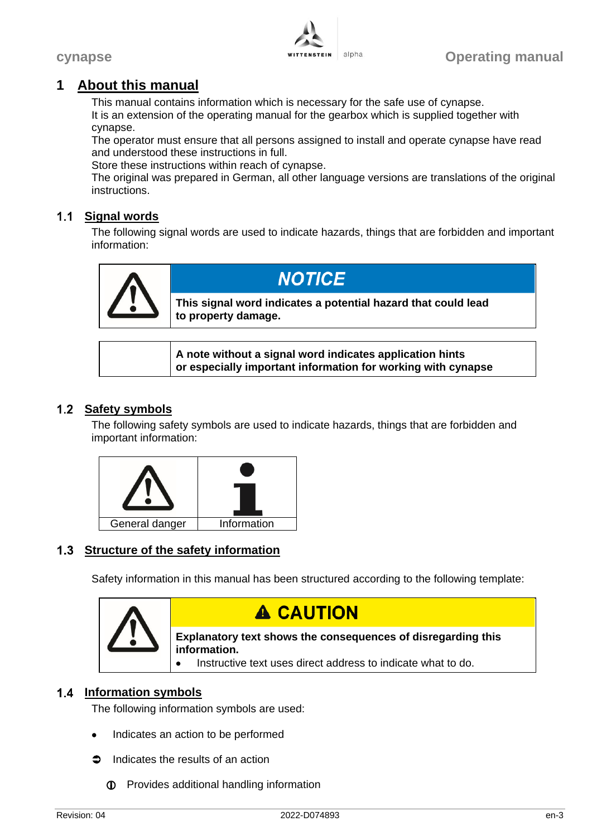

# **1 About this manual**

This manual contains information which is necessary for the safe use of cynapse. It is an extension of the operating manual for the gearbox which is supplied together with cynapse.

The operator must ensure that all persons assigned to install and operate cynapse have read and understood these instructions in full.

Store these instructions within reach of cynapse.

The original was prepared in German, all other language versions are translations of the original instructions.

# **Signal words**

The following signal words are used to indicate hazards, things that are forbidden and important information:



**A note without a signal word indicates application hints or especially important information for working with cynapse**

# 1.2 Safety symbols

The following safety symbols are used to indicate hazards, things that are forbidden and important information:



# **1.3 Structure of the safety information**

Safety information in this manual has been structured according to the following template:



# **A CAUTION**

**Explanatory text shows the consequences of disregarding this information.**

Instructive text uses direct address to indicate what to do.

# **Information symbols**

The following information symbols are used:

- Indicates an action to be performed
- $\bullet$  Indicates the results of an action
	- Provides additional handling information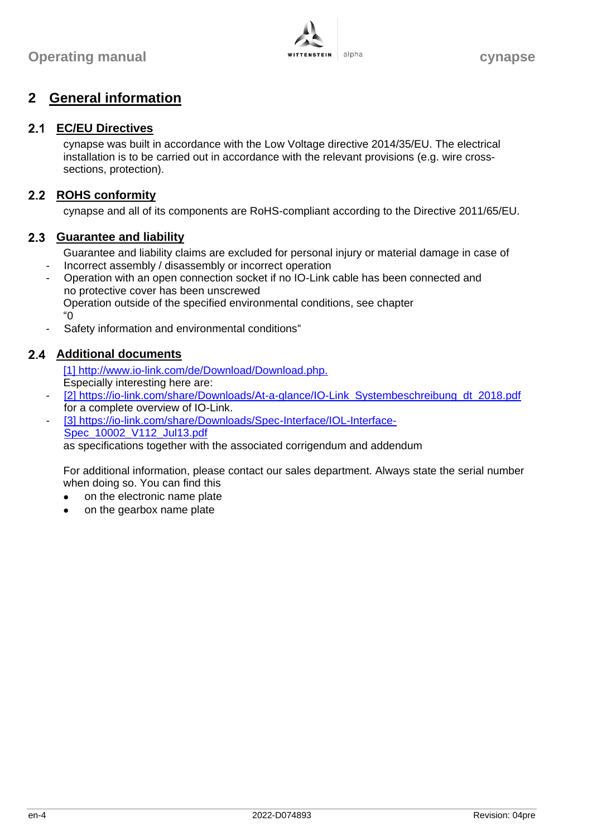

# **2 General information**

#### **EC/EU Directives**

cynapse was built in accordance with the Low Voltage directive 2014/35/EU. The electrical installation is to be carried out in accordance with the relevant provisions (e.g. wire crosssections, protection).

#### 2.2 ROHS conformity

cynapse and all of its components are RoHS-compliant according to the Directive 2011/65/EU.

#### **Guarantee and liability**

Guarantee and liability claims are excluded for personal injury or material damage in case of

- Incorrect assembly / disassembly or incorrect operation
- Operation with an open connection socket if no IO-Link cable has been connected and no protective cover has been unscrewed Operation outside of the specified environmental conditions, see chapter ["0](#page-6-0)
- [Safety information and environmental conditions"](#page-6-0)

#### **Additional documents**

[1] http://www.jo-link.com/de/Download/Download.php. Especially interesting here are:

- [2] [https://io-link.com/share/Downloads/At-a-glance/IO-Link\\_Systembeschreibung\\_dt\\_2018.pdf](https://io-link.com/share/Downloads/At-a-glance/IO-Link_Systembeschreibung_dt_2018.pdf) for a complete overview of IO-Link.
- [3] [https://io-link.com/share/Downloads/Spec-Interface/IOL-Interface-](https://io-link.com/share/Downloads/Spec-Interface/IOL-Interface-Spec_10002_V112_Jul13.pdf)[Spec\\_10002\\_V112\\_Jul13.pdf](https://io-link.com/share/Downloads/Spec-Interface/IOL-Interface-Spec_10002_V112_Jul13.pdf) as specifications together with the associated corrigendum and addendum

For additional information, please contact our sales department. Always state the serial number when doing so. You can find this

- on the electronic name plate
- on the gearbox name plate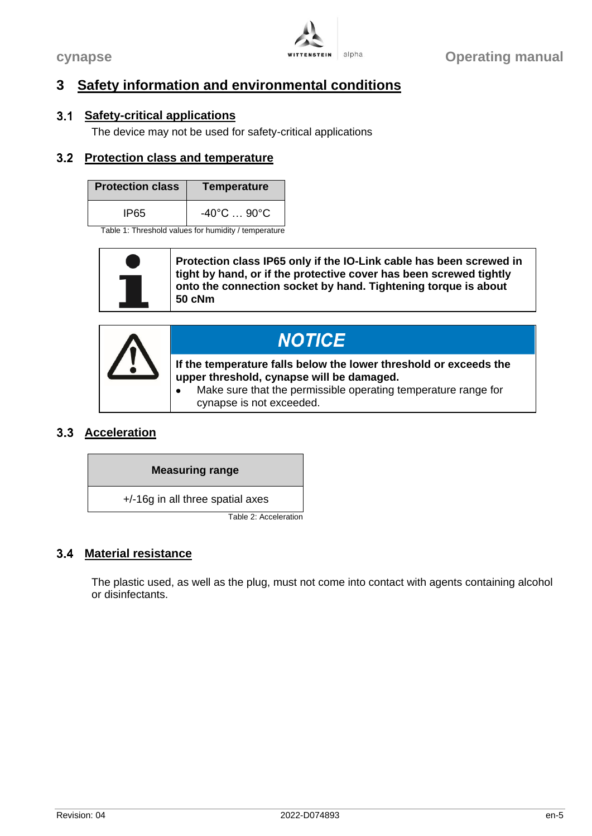

# <span id="page-6-0"></span>**3 Safety information and environmental conditions**

### **Safety-critical applications**

The device may not be used for safety-critical applications

#### <span id="page-6-1"></span>**Protection class and temperature**

| <b>Protection class</b> | Temperature                      |  |  |
|-------------------------|----------------------------------|--|--|
| IP65                    | $-40^{\circ}$ C  90 $^{\circ}$ C |  |  |

Table 1: Threshold values for humidity / temperature

| <b>NOTICE</b>                                                                                                                                                                                                             |
|---------------------------------------------------------------------------------------------------------------------------------------------------------------------------------------------------------------------------|
| If the temperature falls below the lower threshold or exceeds the<br>upper threshold, cynapse will be damaged.<br>Make sure that the permissible operating temperature range for<br>$\bullet$<br>cynapse is not exceeded. |

# **Acceleration**

# **Measuring range**

+/-16g in all three spatial axes

Table 2: Acceleration

# **Material resistance**

The plastic used, as well as the plug, must not come into contact with agents containing alcohol or disinfectants.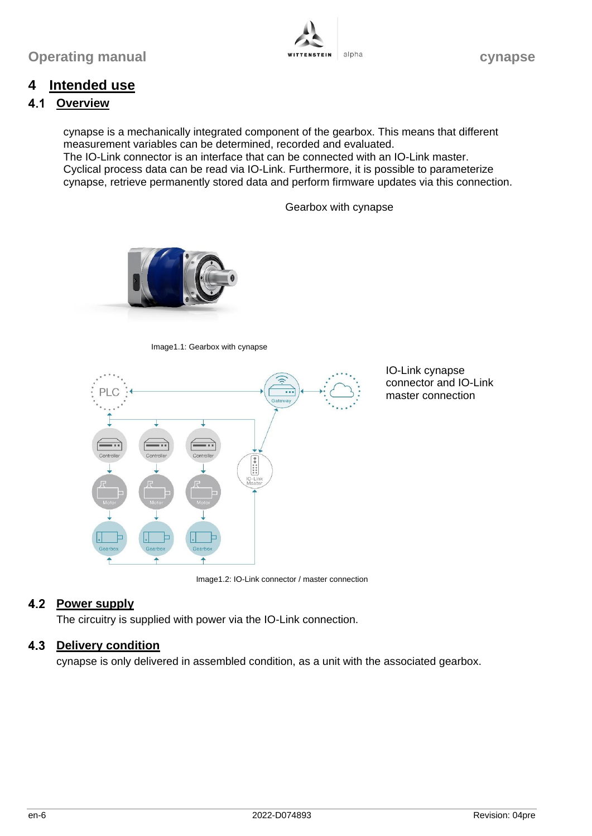

# **4 Intended use**

#### $4.1$ **Overview**

cynapse is a mechanically integrated component of the gearbox. This means that different measurement variables can be determined, recorded and evaluated. The IO-Link connector is an interface that can be connected with an IO-Link master. Cyclical process data can be read via IO-Link. Furthermore, it is possible to parameterize cynapse, retrieve permanently stored data and perform firmware updates via this connection.

Gearbox with cynapse



Image1.1: Gearbox with cynapse



IO-Link cynapse connector and IO-Link master connection

Image1.2: IO-Link connector / master connection

# **4.2 Power supply**

The circuitry is supplied with power via the IO-Link connection.

# **4.3 Delivery condition**

cynapse is only delivered in assembled condition, as a unit with the associated gearbox.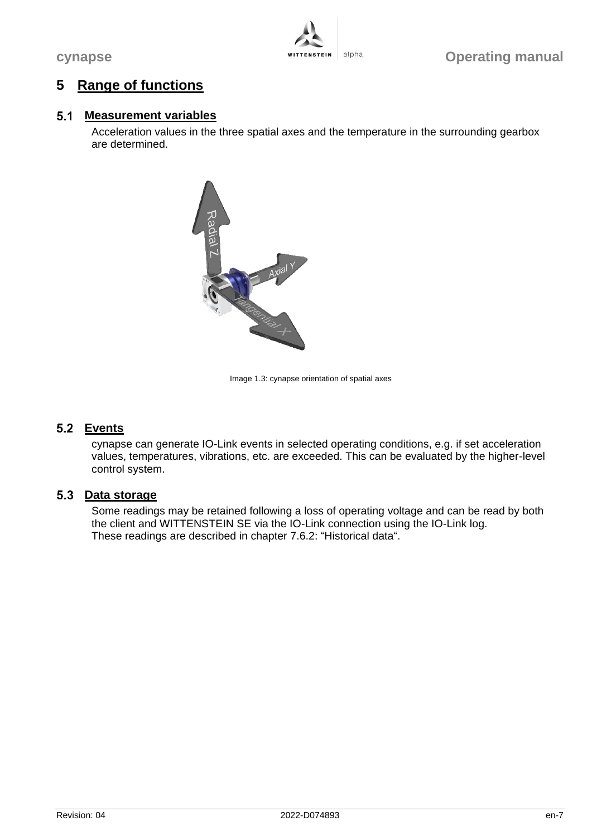

# **5 Range of functions**

#### **Measurement variables**

Acceleration values in the three spatial axes and the temperature in the surrounding gearbox are determined.



Image 1.3: cynapse orientation of spatial axes

# **Events**

cynapse can generate IO-Link events in selected operating conditions, e.g. if set acceleration values, temperatures, vibrations, etc. are exceeded. This can be evaluated by the higher-level control system.

#### **Data storage**

Some readings may be retained following a loss of operating voltage and can be read by both the client and WITTENSTEIN SE via the IO-Link connection using the IO-Link log. These readings are described in chapter [7.6.2:](#page-15-0) ["Historical data"](#page-15-0).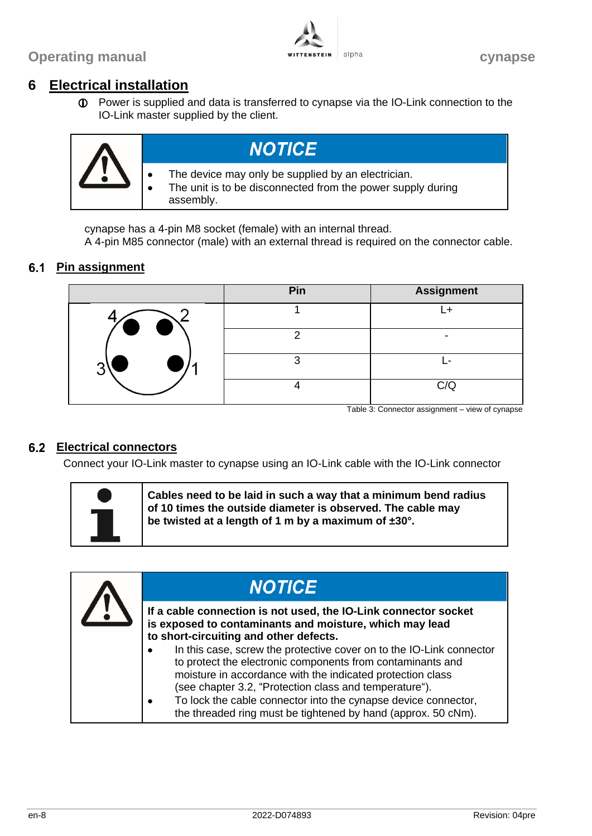**Operating manual alpha cynapse** 



# **6 Electrical installation**

 Power is supplied and data is transferred to cynapse via the IO-Link connection to the IO-Link master supplied by the client.



cynapse has a 4-pin M8 socket (female) with an internal thread.

A 4-pin M85 connector (male) with an external thread is required on the connector cable.

# **6.1 Pin assignment**

|                     | Pin | <b>Assignment</b> |
|---------------------|-----|-------------------|
| $\bullet$ $\bullet$ |     |                   |
|                     |     |                   |
|                     |     |                   |
|                     |     | C/C               |

Table 3: Connector assignment – view of cynapse

# **Electrical connectors**

Connect your IO-Link master to cynapse using an IO-Link cable with the IO-Link connector



**Cables need to be laid in such a way that a minimum bend radius of 10 times the outside diameter is observed. The cable may be twisted at a length of 1 m by a maximum of ±30°.**

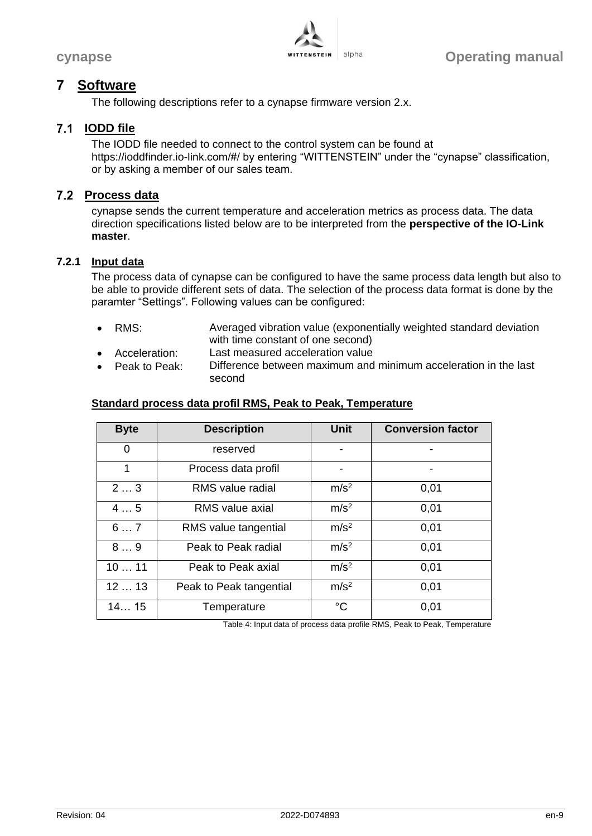

# **7 Software**

The following descriptions refer to a cynapse firmware version 2.x.

# **IODD file**

The IODD file needed to connect to the control system can be found at https://ioddfinder.io-link.com/#/ by entering "WITTENSTEIN" under the "cynapse" classification, or by asking a member of our sales team.

#### **Process data**

cynapse sends the current temperature and acceleration metrics as process data. The data direction specifications listed below are to be interpreted from the **perspective of the IO-Link master**.

# **7.2.1 Input data**

The process data of cynapse can be configured to have the same process data length but also to be able to provide different sets of data. The selection of the process data format is done by the paramter "Settings". Following values can be configured:

- RMS: Averaged vibration value (exponentially weighted standard deviation with time constant of one second)
- Acceleration: Last measured acceleration value
- Peak to Peak: Difference between maximum and minimum acceleration in the last second

#### **Standard process data profil RMS, Peak to Peak, Temperature**

| <b>Byte</b> | <b>Description</b>      | <b>Unit</b>      | <b>Conversion factor</b> |
|-------------|-------------------------|------------------|--------------------------|
| 0           | reserved                | -                |                          |
| 1           | Process data profil     |                  |                          |
| 23          | <b>RMS</b> value radial | m/s <sup>2</sup> | 0.01                     |
| 45          | RMS value axial         | m/s <sup>2</sup> | 0,01                     |
| 67          | RMS value tangential    | m/s <sup>2</sup> | 0.01                     |
| 89          | Peak to Peak radial     | m/s <sup>2</sup> | 0.01                     |
| 1011        | Peak to Peak axial      | m/s <sup>2</sup> | 0.01                     |
| 1213        | Peak to Peak tangential | m/s <sup>2</sup> | 0.01                     |
| 1415        | Temperature             | $^{\circ}C$      | 0,01                     |

Table 4: Input data of process data profile RMS, Peak to Peak, Temperature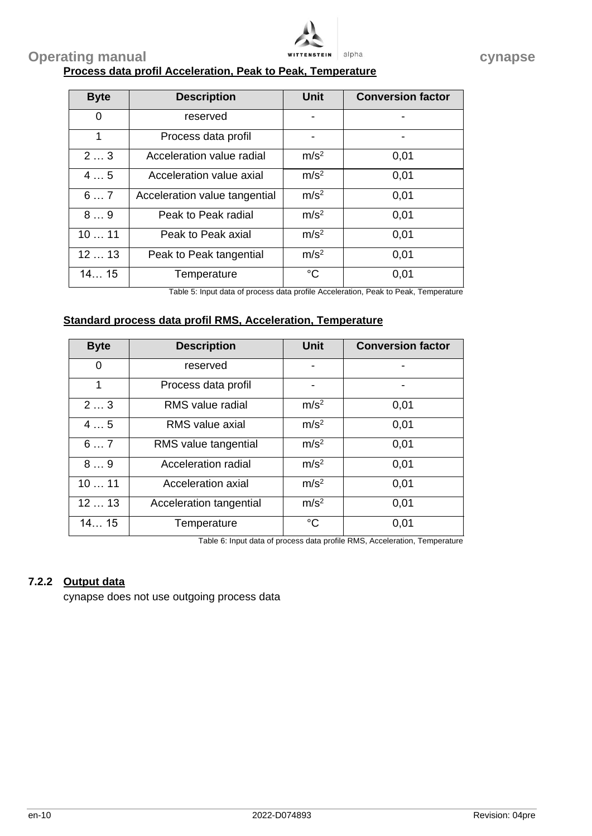

# **Operating manual alpha cynapse cynapse Process data profil Acceleration, Peak to Peak, Temperature**

| <b>Byte</b> | <b>Description</b>            | <b>Unit</b>      | <b>Conversion factor</b> |
|-------------|-------------------------------|------------------|--------------------------|
| 0           | reserved                      | -                |                          |
| 1           | Process data profil           |                  |                          |
| 23          | Acceleration value radial     | m/s <sup>2</sup> | 0.01                     |
| 45          | Acceleration value axial      | m/s <sup>2</sup> | 0.01                     |
| 67          | Acceleration value tangential | m/s <sup>2</sup> | 0.01                     |
| 89          | Peak to Peak radial           | m/s <sup>2</sup> | 0.01                     |
| 1011        | Peak to Peak axial            | m/s <sup>2</sup> | 0.01                     |
| 1213        | Peak to Peak tangential       | m/s <sup>2</sup> | 0.01                     |
| 1415        | Temperature                   | $^{\circ}C$      | 0.01                     |

Table 5: Input data of process data profile Acceleration, Peak to Peak, Temperature

#### **Standard process data profil RMS, Acceleration, Temperature**

| <b>Byte</b> | <b>Description</b>      | <b>Unit</b>      | <b>Conversion factor</b> |
|-------------|-------------------------|------------------|--------------------------|
| 0           | reserved                |                  |                          |
| 1           | Process data profil     |                  |                          |
| 23          | RMS value radial        | m/s <sup>2</sup> | 0.01                     |
| 45          | RMS value axial         | m/s <sup>2</sup> | 0.01                     |
| 67          | RMS value tangential    | m/s <sup>2</sup> | 0.01                     |
| 89          | Acceleration radial     | m/s <sup>2</sup> | 0.01                     |
| 1011        | Acceleration axial      | m/s <sup>2</sup> | 0.01                     |
| 1213        | Acceleration tangential | m/s <sup>2</sup> | 0,01                     |
| 1415        | Temperature             | $\rm ^{\circ}C$  | 0.01                     |

Table 6: Input data of process data profile RMS, Acceleration, Temperature

# **7.2.2 Output data**

cynapse does not use outgoing process data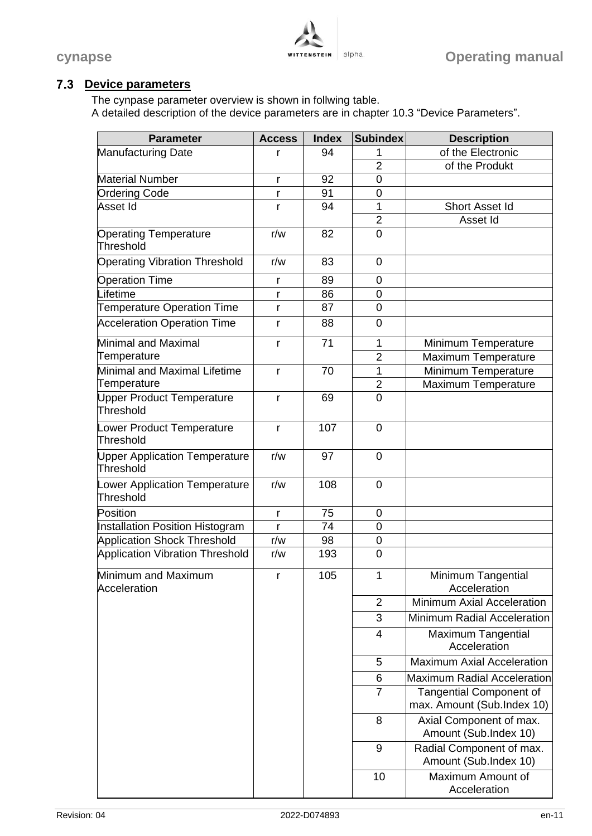

# **Device parameters**

The cynpase parameter overview is shown in follwing table. A detailed description of the device parameters are in chapter [10.3](#page-19-0) ["Device Parameters"](#page-19-0).

| <b>Parameter</b>                                  | <b>Access</b> | <b>Index</b> | <b>Subindex</b> | <b>Description</b>                                |
|---------------------------------------------------|---------------|--------------|-----------------|---------------------------------------------------|
| <b>Manufacturing Date</b>                         | r             | 94           | 1               | of the Electronic                                 |
|                                                   |               |              | $\overline{2}$  | of the Produkt                                    |
| <b>Material Number</b>                            | r             | 92           | $\mathbf 0$     |                                                   |
| Ordering Code                                     | r             | 91           | $\mathbf 0$     |                                                   |
| Asset Id                                          | r             | 94           | 1               | Short Asset Id                                    |
|                                                   |               |              | $\overline{2}$  | Asset Id                                          |
| <b>Operating Temperature</b><br>Threshold         | r/w           | 82           | 0               |                                                   |
| <b>Operating Vibration Threshold</b>              | r/w           | 83           | $\mathbf 0$     |                                                   |
| <b>Operation Time</b>                             | r             | 89           | 0               |                                                   |
| Lifetime                                          | r             | 86           | $\mathbf 0$     |                                                   |
| <b>Temperature Operation Time</b>                 | r             | 87           | $\overline{0}$  |                                                   |
| <b>Acceleration Operation Time</b>                | r             | 88           | 0               |                                                   |
| <b>Minimal and Maximal</b>                        | r             | 71           | 1               | Minimum Temperature                               |
| Temperature                                       |               |              | $\overline{2}$  | Maximum Temperature                               |
| Minimal and Maximal Lifetime                      | r             | 70           | 1               | Minimum Temperature                               |
| Temperature                                       |               |              | $\overline{2}$  | Maximum Temperature                               |
| <b>Upper Product Temperature</b><br>Threshold     | r             | 69           | $\overline{0}$  |                                                   |
| Lower Product Temperature<br>Threshold            | r             | 107          | $\mathbf 0$     |                                                   |
| <b>Upper Application Temperature</b><br>Threshold | r/w           | 97           | $\mathbf 0$     |                                                   |
| Lower Application Temperature<br><b>Threshold</b> | r/w           | 108          | $\mathbf 0$     |                                                   |
| Position                                          | r             | 75           | $\mathbf 0$     |                                                   |
| Installation Position Histogram                   | r             | 74           | $\mathbf 0$     |                                                   |
| <b>Application Shock Threshold</b>                | r/w           | 98           | 0               |                                                   |
| <b>Application Vibration Threshold</b>            | r/w           | 193          | 0               |                                                   |
| Minimum and Maximum<br>Acceleration               |               | 105          | 1               | Minimum Tangential<br>Acceleration                |
|                                                   |               |              | $\overline{2}$  | Minimum Axial Acceleration                        |
|                                                   |               |              | 3               | <b>Minimum Radial Acceleration</b>                |
|                                                   |               |              | 4               | <b>Maximum Tangential</b><br>Acceleration         |
|                                                   |               |              | 5               | <b>Maximum Axial Acceleration</b>                 |
|                                                   |               |              | 6               | <b>Maximum Radial Acceleration</b>                |
|                                                   |               |              | 7               | <b>Tangential Component of</b>                    |
|                                                   |               |              |                 | max. Amount (Sub.Index 10)                        |
|                                                   |               |              | 8               | Axial Component of max.<br>Amount (Sub.Index 10)  |
|                                                   |               |              | 9               | Radial Component of max.<br>Amount (Sub.Index 10) |
|                                                   |               |              | 10              | Maximum Amount of<br>Acceleration                 |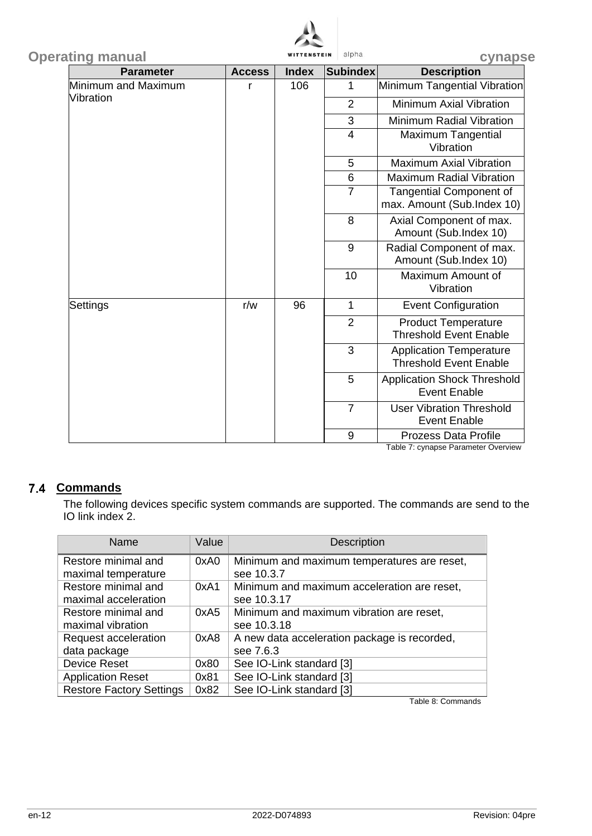

| <b>Operating manual</b> |               | <b>WITTENSTEIN</b> | alpha           | cynapse                                                         |   |                                                           |
|-------------------------|---------------|--------------------|-----------------|-----------------------------------------------------------------|---|-----------------------------------------------------------|
| <b>Parameter</b>        | <b>Access</b> | <b>Index</b>       | <b>Subindex</b> | <b>Description</b>                                              |   |                                                           |
| Minimum and Maximum     | r             | 106                | 1               | Minimum Tangential Vibration                                    |   |                                                           |
| Vibration               |               |                    | $\overline{2}$  | Minimum Axial Vibration                                         |   |                                                           |
|                         |               |                    | 3               | <b>Minimum Radial Vibration</b>                                 |   |                                                           |
|                         |               |                    | $\overline{4}$  | <b>Maximum Tangential</b><br>Vibration                          |   |                                                           |
|                         |               |                    | 5               | <b>Maximum Axial Vibration</b>                                  |   |                                                           |
|                         |               |                    | $6\phantom{1}$  | <b>Maximum Radial Vibration</b>                                 |   |                                                           |
|                         |               |                    | $\overline{7}$  | <b>Tangential Component of</b><br>max. Amount (Sub.Index 10)    |   |                                                           |
|                         |               |                    | 8               | Axial Component of max.<br>Amount (Sub.Index 10)                |   |                                                           |
|                         |               |                    | 9               | Radial Component of max.<br>Amount (Sub.Index 10)               |   |                                                           |
|                         |               |                    | 10              | Maximum Amount of<br>Vibration                                  |   |                                                           |
| Settings                | r/w           | 96                 | $\mathbf{1}$    | <b>Event Configuration</b>                                      |   |                                                           |
|                         |               |                    | $\overline{2}$  | <b>Product Temperature</b><br><b>Threshold Event Enable</b>     |   |                                                           |
|                         |               |                    | 3               | <b>Application Temperature</b><br><b>Threshold Event Enable</b> |   |                                                           |
|                         |               |                    |                 |                                                                 | 5 | <b>Application Shock Threshold</b><br><b>Event Enable</b> |
|                         |               |                    |                 |                                                                 |   | $\overline{7}$                                            |
|                         |               |                    | 9               | <b>Prozess Data Profile</b>                                     |   |                                                           |

Table 7: cynapse Parameter Overview

# 7.4 Commands

The following devices specific system commands are supported. The commands are send to the IO link index 2.

| Name                            | Value | <b>Description</b>                           |
|---------------------------------|-------|----------------------------------------------|
| Restore minimal and             | 0xA0  | Minimum and maximum temperatures are reset,  |
| maximal temperature             |       | see 10.3.7                                   |
| Restore minimal and             | 0xA1  | Minimum and maximum acceleration are reset,  |
| maximal acceleration            |       | see 10.3.17                                  |
| Restore minimal and             | 0xA5  | Minimum and maximum vibration are reset,     |
| maximal vibration               |       | see 10.3.18                                  |
| Request acceleration            | 0xA8  | A new data acceleration package is recorded, |
| data package                    |       | see 7.6.3                                    |
| <b>Device Reset</b>             | 0x80  | See IO-Link standard [3]                     |
| <b>Application Reset</b>        | 0x81  | See IO-Link standard [3]                     |
| <b>Restore Factory Settings</b> | 0x82  | See IO-Link standard [3]                     |

Table 8: Commands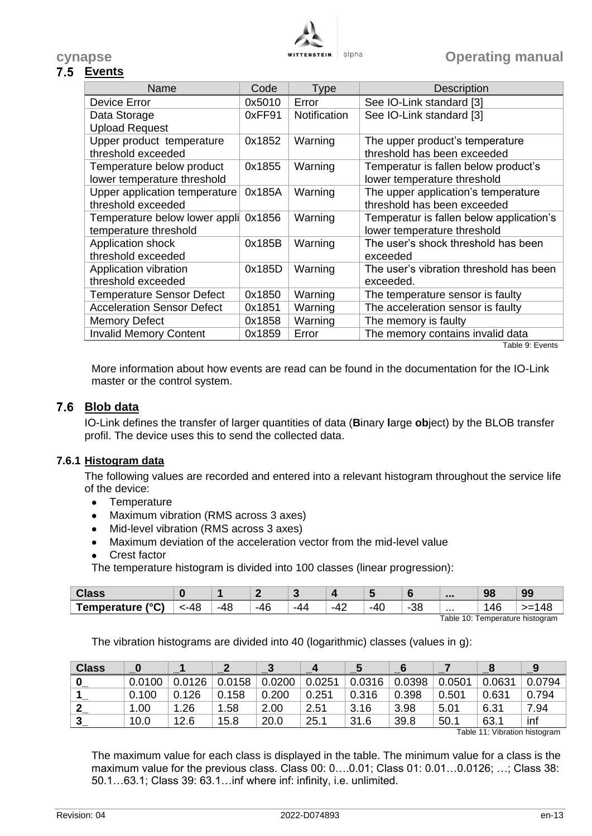

# **Events**

| Name                              | Code   | Type                | <b>Description</b>                              |
|-----------------------------------|--------|---------------------|-------------------------------------------------|
| Device Error                      | 0x5010 | Error               | See IO-Link standard [3]                        |
| Data Storage                      | 0xFF91 | <b>Notification</b> | See IO-Link standard [3]                        |
| <b>Upload Request</b>             |        |                     |                                                 |
| Upper product temperature         | 0x1852 | Warning             | The upper product's temperature                 |
| threshold exceeded                |        |                     | threshold has been exceeded                     |
| Temperature below product         | 0x1855 | Warning             | Temperatur is fallen below product's            |
| lower temperature threshold       |        |                     | lower temperature threshold                     |
| Upper application temperature     | 0x185A | Warning             | The upper application's temperature             |
| threshold exceeded                |        |                     | threshold has been exceeded                     |
| Temperature below lower appli     | 0x1856 | Warning             | Temperatur is fallen below application's        |
| temperature threshold             |        |                     | lower temperature threshold                     |
| Application shock                 | 0x185B | Warning             | The user's shock threshold has been             |
| threshold exceeded                |        |                     | exceeded                                        |
| Application vibration             | 0x185D | Warning             | The user's vibration threshold has been         |
| threshold exceeded                |        |                     | exceeded.                                       |
| <b>Temperature Sensor Defect</b>  | 0x1850 | Warning             | The temperature sensor is faulty                |
| <b>Acceleration Sensor Defect</b> | 0x1851 | Warning             | The acceleration sensor is faulty               |
| Memory Defect                     | 0x1858 | Warning             | The memory is faulty                            |
| <b>Invalid Memory Content</b>     | 0x1859 | Error               | The memory contains invalid data<br>Table O. F. |

Table 9: Events

More information about how events are read can be found in the documentation for the IO-Link master or the control system.

# **Blob data**

IO-Link defines the transfer of larger quantities of data (**B**inary **l**arge **ob**ject) by the BLOB transfer profil. The device uses this to send the collected data.

#### **7.6.1 Histogram data**

The following values are recorded and entered into a relevant histogram throughout the service life of the device:

- **•** Temperature
- Maximum vibration (RMS across 3 axes)
- Mid-level vibration (RMS across 3 axes)
- Maximum deviation of the acceleration vector from the mid-level value
- Crest factor

The temperature histogram is divided into 100 classes (linear progression):

|              |                   |          |     |     |           |                                             |              |   | 98   | $\sim$ |
|--------------|-------------------|----------|-----|-----|-----------|---------------------------------------------|--------------|---|------|--------|
| 10(2)<br>rra | л к.<br>-46<br>'' | -4}<br>י | -40 | -44 | -4<br>т д | $\overline{ }$<br>$-4$<br>$\cdot$<br>$\sim$ | $\sim$<br>၁၀ | . | טו ו |        |

Table 10: Temperature histogram

The vibration histograms are divided into 40 (logarithmic) classes (values in g):

| <b>Class</b> |        |        |        |        |        |        |        |        |        | -9     |
|--------------|--------|--------|--------|--------|--------|--------|--------|--------|--------|--------|
|              | 0.0100 | 0.0126 | 0.0158 | 0.0200 | 0.0251 | 0.0316 | 0.0398 | 0.0501 | 0.0631 | 0.0794 |
|              | 0.100  | 0.126  | 0.158  | 0.200  | 0.251  | 0.316  | 0.398  | 0.501  | 0.631  | 0.794  |
|              | 1.00   | .26    | .58    | 2.00   | 2.51   | 3.16   | 3.98   | 5.01   | 6.31   | 7.94   |
|              | 10.0   | 12.6   | 15.8   | 20.0   | 25.1   | 31.6   | 39.8   | 50.1   | 63.1   | inf    |

Table 11: Vibration histogram

The maximum value for each class is displayed in the table. The minimum value for a class is the maximum value for the previous class. Class 00: 0….0.01; Class 01: 0.01…0.0126; …; Class 38: 50.1…63.1; Class 39: 63.1…inf where inf: infinity, i.e. unlimited.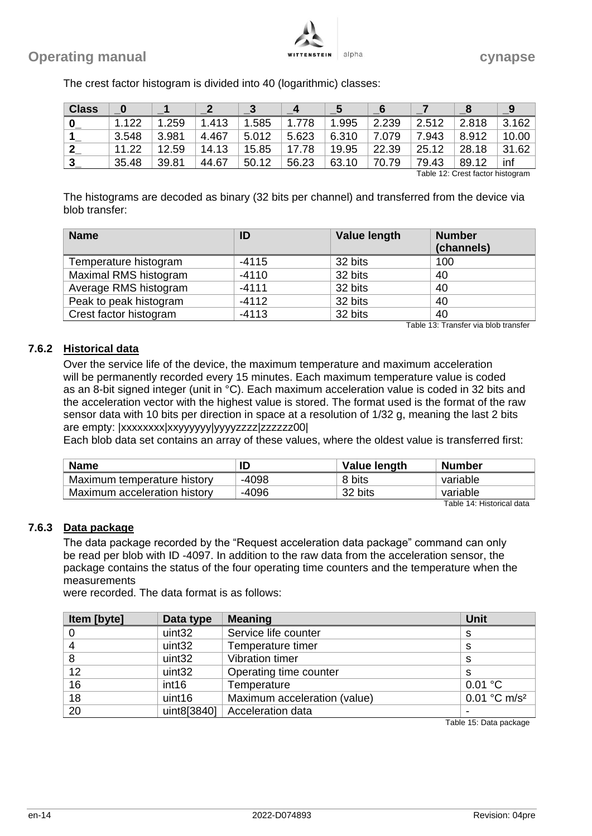

| <b>Class</b> | 0     |       |       | -3    | 4     |           | -6    |       |                                                                                                                                                                                                                                 |           |
|--------------|-------|-------|-------|-------|-------|-----------|-------|-------|---------------------------------------------------------------------------------------------------------------------------------------------------------------------------------------------------------------------------------|-----------|
| 0            | 1.122 | .259  | 1.413 | 1.585 | 1.778 | .995<br>1 | 2.239 | 2.512 | 2.818                                                                                                                                                                                                                           | 3.162     |
|              | 3.548 | 3.981 | 4.467 | 5.012 | 5.623 | 6.310     | 7.079 | 7.943 | 8.912                                                                                                                                                                                                                           | 10.00     |
| $\mathbf{2}$ | 11.22 | 12.59 | 14.13 | 15.85 | 17.78 | 19.95     | 22.39 | 25.12 | 28.18                                                                                                                                                                                                                           | .62<br>31 |
| -3           | 35.48 | 39.81 | 44.67 | 50.12 | 56.23 | 63.10     | 70.79 | 79.43 | 89.12                                                                                                                                                                                                                           | inf       |
|              |       |       |       |       |       |           |       |       | $\tau$ . It is a concern of the state in the second second second second second second second second second second second second second second second second second second second second second second second second second sec |           |

The crest factor histogram is divided into 40 (logarithmic) classes:

Table 12: Crest factor histogram

The histograms are decoded as binary (32 bits per channel) and transferred from the device via blob transfer:

| <b>Name</b>            | ID      | <b>Value length</b> | <b>Number</b><br>(channels) |
|------------------------|---------|---------------------|-----------------------------|
| Temperature histogram  | $-4115$ | 32 bits             | 100                         |
| Maximal RMS histogram  | $-4110$ | 32 bits             | 40                          |
| Average RMS histogram  | $-4111$ | 32 bits             | 40                          |
| Peak to peak histogram | $-4112$ | 32 bits             | 40                          |
| Crest factor histogram | $-4113$ | 32 bits             | 40                          |

Table 13: Transfer via blob transfer

#### <span id="page-15-0"></span>**7.6.2 Historical data**

Over the service life of the device, the maximum temperature and maximum acceleration will be permanently recorded every 15 minutes. Each maximum temperature value is coded as an 8-bit signed integer (unit in °C). Each maximum acceleration value is coded in 32 bits and the acceleration vector with the highest value is stored. The format used is the format of the raw sensor data with 10 bits per direction in space at a resolution of 1/32 g, meaning the last 2 bits are empty: |xxxxxxxx|xxyyyyyyyyyyyzzzz|zzzzzz00|

Each blob data set contains an array of these values, where the oldest value is transferred first:

| <b>Name</b>                  | ID      | Value length | Number   |
|------------------------------|---------|--------------|----------|
| Maximum temperature history  | $-4098$ | 8 bits       | variable |
| Maximum acceleration history | $-4096$ | 32 bits      | variable |

Table 14: Historical data

#### <span id="page-15-1"></span>**7.6.3 Data package**

The data package recorded by the "Request acceleration data package" command can only be read per blob with ID -4097. In addition to the raw data from the acceleration sensor, the package contains the status of the four operating time counters and the temperature when the measurements

were recorded. The data format is as follows:

| Item [byte] | Data type          | <b>Meaning</b>               | <b>Unit</b>                |
|-------------|--------------------|------------------------------|----------------------------|
|             | uint <sub>32</sub> | Service life counter         | S                          |
|             | uint <sub>32</sub> | Temperature timer            | s                          |
|             | uint32             | <b>Vibration timer</b>       | S                          |
| 12          | uint32             | Operating time counter       | s                          |
| 16          | int <sub>16</sub>  | Temperature                  | 0.01 °C                    |
| 18          | uint16             | Maximum acceleration (value) | $0.01 °C$ m/s <sup>2</sup> |
| 20          | uint8[3840]        | Acceleration data            |                            |

Table 15: Data package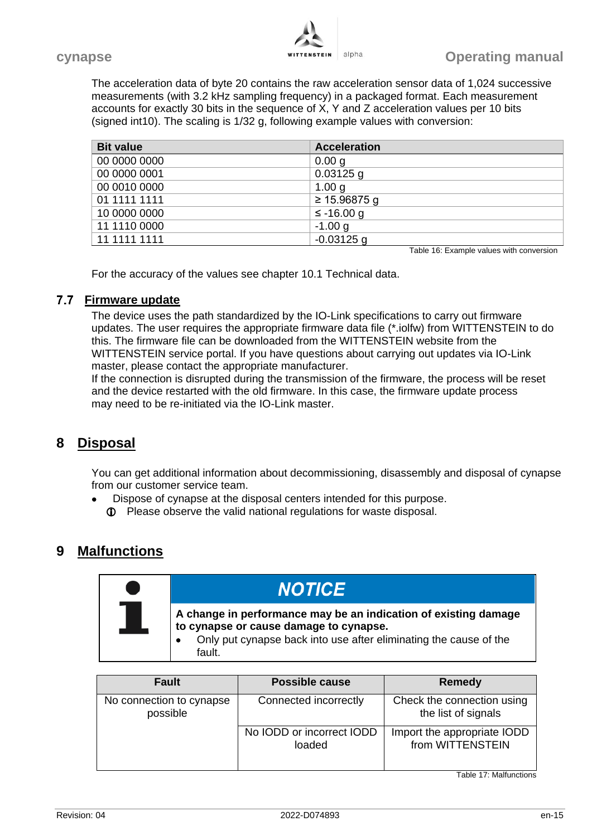

The acceleration data of byte 20 contains the raw acceleration sensor data of 1,024 successive measurements (with 3.2 kHz sampling frequency) in a packaged format. Each measurement accounts for exactly 30 bits in the sequence of X, Y and Z acceleration values per 10 bits (signed int10). The scaling is 1/32 g, following example values with conversion:

| <b>Bit value</b> | <b>Acceleration</b> |
|------------------|---------------------|
| 00 0000 0000     | 0.00 g              |
| 00 0000 0001     | $0.03125$ g         |
| 00 0010 0000     | 1.00 $q$            |
| 01 1111 1111     | ≥ 15.96875 g        |
| 10 0000 0000     | $≤ -16.00 g$        |
| 11 1110 0000     | $-1.00 g$           |
| 11 1111 1111     | $-0.03125$ g        |

Table 16: Example values with conversion

For the accuracy of the values see chapter [10.1](#page-17-0) [Technical data.](#page-17-0)

#### **Firmware update**

The device uses the path standardized by the IO-Link specifications to carry out firmware updates. The user requires the appropriate firmware data file (\*.iolfw) from WITTENSTEIN to do this. The firmware file can be downloaded from the WITTENSTEIN website from the WITTENSTEIN service portal. If you have questions about carrying out updates via IO-Link master, please contact the appropriate manufacturer.

If the connection is disrupted during the transmission of the firmware, the process will be reset and the device restarted with the old firmware. In this case, the firmware update process may need to be re-initiated via the IO-Link master.

# **8 Disposal**

You can get additional information about decommissioning, disassembly and disposal of cynapse from our customer service team.

- Dispose of cynapse at the disposal centers intended for this purpose.
	- Please observe the valid national regulations for waste disposal.

# **9 Malfunctions**

| <b>Fault</b>                         | <b>Possible cause</b>               | Remedy                                            |
|--------------------------------------|-------------------------------------|---------------------------------------------------|
| No connection to cynapse<br>possible | Connected incorrectly               | Check the connection using<br>the list of signals |
|                                      | No IODD or incorrect IODD<br>loaded | Import the appropriate IODD<br>from WITTENSTEIN   |

Table 17: Malfunctions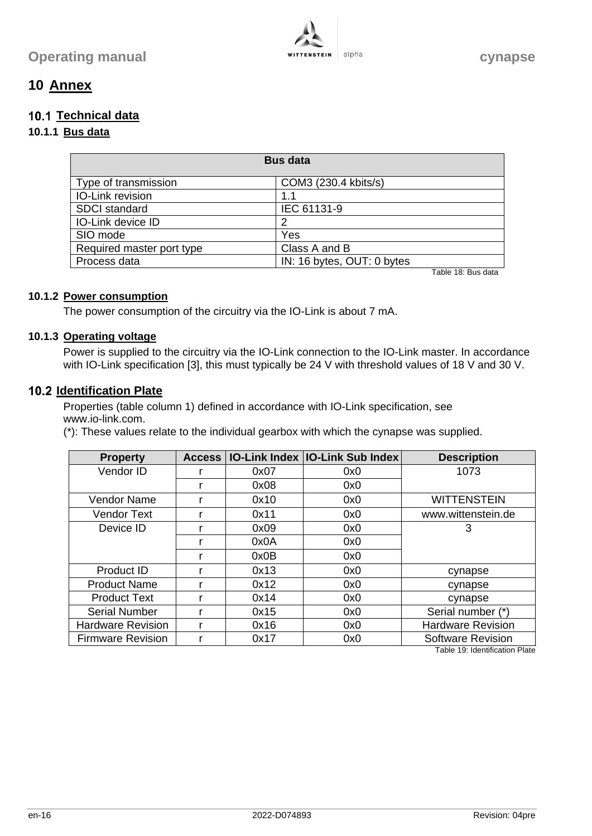

# **10 Annex**

# <span id="page-17-0"></span>**Technical data**

# **10.1.1 Bus data**

| <b>Bus data</b>           |                            |  |
|---------------------------|----------------------------|--|
| Type of transmission      | COM3 (230.4 kbits/s)       |  |
| <b>IO-Link revision</b>   | 1.1                        |  |
| <b>SDCI</b> standard      | IEC 61131-9                |  |
| <b>IO-Link device ID</b>  |                            |  |
| SIO mode                  | Yes                        |  |
| Required master port type | Class A and B              |  |
| Process data              | IN: 16 bytes, OUT: 0 bytes |  |

Table 18: Bus data

#### **10.1.2 Power consumption**

The power consumption of the circuitry via the IO-Link is about 7 mA.

#### **10.1.3 Operating voltage**

Power is supplied to the circuitry via the IO-Link connection to the IO-Link master. In accordance with IO-Link specification [3], this must typically be 24 V with threshold values of 18 V and 30 V.

# **10.2 Identification Plate**

Properties (table column 1) defined in accordance with IO-Link specification, see www.io-link.com.

(\*): These values relate to the individual gearbox with which the cynapse was supplied.

| <b>Property</b>          | Access |      | <b>IO-Link Index   IO-Link Sub Index</b> | <b>Description</b>       |
|--------------------------|--------|------|------------------------------------------|--------------------------|
| Vendor ID                |        | 0x07 | 0x0                                      | 1073                     |
|                          |        | 0x08 | 0x0                                      |                          |
| <b>Vendor Name</b>       |        | 0x10 | 0x0                                      | <b>WITTENSTEIN</b>       |
| <b>Vendor Text</b>       |        | 0x11 | 0x0                                      | www.wittenstein.de       |
| Device ID                |        | 0x09 | 0x0                                      | 3                        |
|                          |        | 0x0A | 0x0                                      |                          |
|                          |        | 0x0B | 0x0                                      |                          |
| Product ID               |        | 0x13 | 0x0                                      | cynapse                  |
| <b>Product Name</b>      |        | 0x12 | 0x0                                      | cynapse                  |
| <b>Product Text</b>      |        | 0x14 | 0x0                                      | cynapse                  |
| <b>Serial Number</b>     |        | 0x15 | 0x0                                      | Serial number (*)        |
| <b>Hardware Revision</b> |        | 0x16 | 0x0                                      | <b>Hardware Revision</b> |
| <b>Firmware Revision</b> |        | 0x17 | 0x0                                      | <b>Software Revision</b> |

Table 19: Identification Plate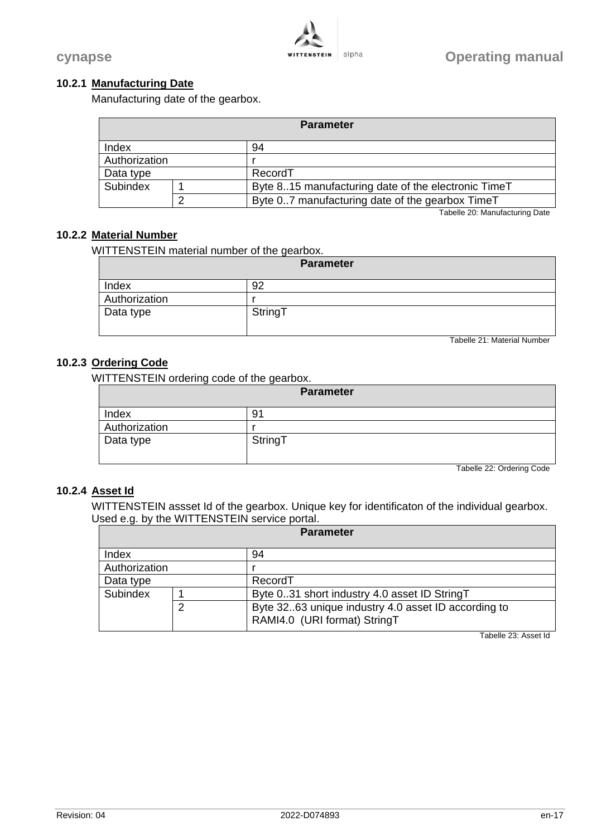#### **10.2.1 Manufacturing Date**

Manufacturing date of the gearbox.

| <b>Parameter</b>     |   |                                                     |
|----------------------|---|-----------------------------------------------------|
| Index                |   | 94                                                  |
| Authorization        |   |                                                     |
| RecordT<br>Data type |   |                                                     |
| Subindex             |   | Byte 815 manufacturing date of the electronic TimeT |
|                      | ⌒ | Byte 07 manufacturing date of the gearbox TimeT     |

Tabelle 20: Manufacturing Date

#### **10.2.2 Material Number**

WITTENSTEIN material number of the gearbox.

| <b>Parameter</b> |         |  |
|------------------|---------|--|
| Index            | 92      |  |
| Authorization    |         |  |
| Data type        | StringT |  |

Tabelle 21: Material Number

# **10.2.3 Ordering Code**

WITTENSTEIN ordering code of the gearbox.

| <b>Parameter</b> |         |
|------------------|---------|
| Index            | 91      |
| Authorization    |         |
| Data type        | StringT |

Tabelle 22: Ordering Code

#### **10.2.4 Asset Id**

WITTENSTEIN assset Id of the gearbox. Unique key for identificaton of the individual gearbox. Used e.g. by the WITTENSTEIN service portal.

| <b>Parameter</b> |   |                                                                                     |
|------------------|---|-------------------------------------------------------------------------------------|
| Index            |   | 94                                                                                  |
| Authorization    |   |                                                                                     |
| Data type        |   | RecordT                                                                             |
| Subindex         |   | Byte 031 short industry 4.0 asset ID StringT                                        |
|                  | ⌒ | Byte 3263 unique industry 4.0 asset ID according to<br>RAMI4.0 (URI format) StringT |

Tabelle 23: Asset Id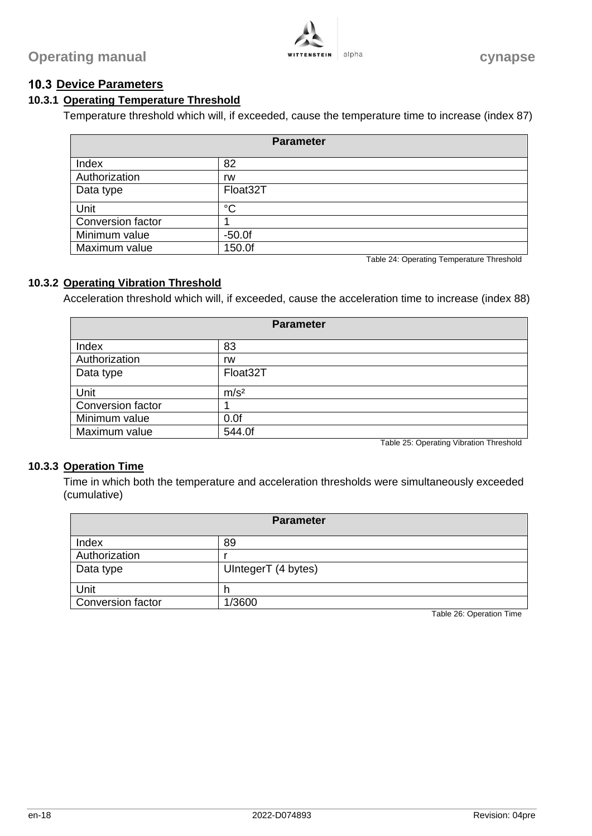# <span id="page-19-0"></span>**10.3 Device Parameters**

# **10.3.1 Operating Temperature Threshold**

Temperature threshold which will, if exceeded, cause the temperature time to increase (index 87)

| <b>Parameter</b>  |             |  |
|-------------------|-------------|--|
| Index             | 82          |  |
| Authorization     | rw          |  |
| Data type         | Float32T    |  |
| Unit              | $^{\circ}C$ |  |
| Conversion factor |             |  |
| Minimum value     | $-50.0f$    |  |
| Maximum value     | 150.0f      |  |

Table 24: Operating Temperature Threshold

#### **10.3.2 Operating Vibration Threshold**

Acceleration threshold which will, if exceeded, cause the acceleration time to increase (index 88)

| <b>Parameter</b>  |                         |  |
|-------------------|-------------------------|--|
| Index             | 83                      |  |
| Authorization     | rw                      |  |
| Data type         | Float32T                |  |
| Unit              | m/s <sup>2</sup>        |  |
| Conversion factor |                         |  |
| Minimum value     | 0.0f                    |  |
| Maximum value     | 544.0f<br>_  _ _ _. _ _ |  |

Table 25: Operating Vibration Threshold

#### **10.3.3 Operation Time**

Time in which both the temperature and acceleration thresholds were simultaneously exceeded (cumulative)

| Parameter                |                     |  |
|--------------------------|---------------------|--|
| Index                    | 89                  |  |
| Authorization            |                     |  |
| Data type                | UIntegerT (4 bytes) |  |
| Unit                     |                     |  |
| <b>Conversion factor</b> | 1/3600              |  |

Table 26: Operation Time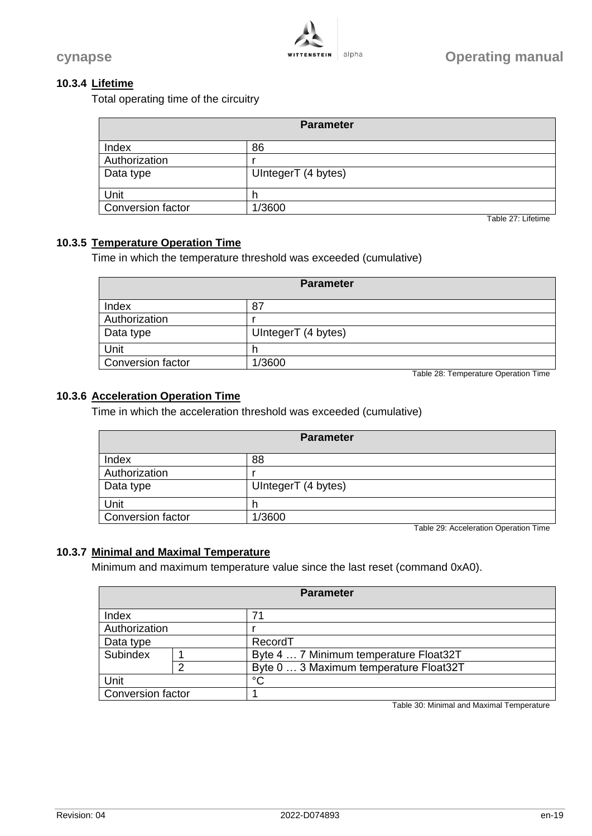

#### **10.3.4 Lifetime**

Total operating time of the circuitry

| <b>Parameter</b>  |                     |  |
|-------------------|---------------------|--|
| Index             | 86                  |  |
| Authorization     |                     |  |
| Data type         | UIntegerT (4 bytes) |  |
| Unit              |                     |  |
| Conversion factor | 1/3600              |  |

Table 27: Lifetime

#### **10.3.5 Temperature Operation Time**

Time in which the temperature threshold was exceeded (cumulative)

| <b>Parameter</b>  |                     |  |
|-------------------|---------------------|--|
| Index             | 87                  |  |
| Authorization     |                     |  |
| Data type         | UIntegerT (4 bytes) |  |
| Unit              |                     |  |
| Conversion factor | 1/3600              |  |

Table 28: Temperature Operation Time

#### **10.3.6 Acceleration Operation Time**

Time in which the acceleration threshold was exceeded (cumulative)

| <b>Parameter</b>         |                     |  |
|--------------------------|---------------------|--|
| Index                    | 88                  |  |
| Authorization            |                     |  |
| Data type                | UIntegerT (4 bytes) |  |
| Unit                     |                     |  |
| <b>Conversion factor</b> | 1/3600              |  |

Table 29: Acceleration Operation Time

#### <span id="page-20-0"></span>**10.3.7 Minimal and Maximal Temperature**

Minimum and maximum temperature value since the last reset (command 0xA0).

| <b>Parameter</b>  |   |                                        |
|-------------------|---|----------------------------------------|
| Index             |   | 71                                     |
| Authorization     |   |                                        |
| Data type         |   | RecordT                                |
| Subindex          |   | Byte 4  7 Minimum temperature Float32T |
|                   | ◠ | Byte 0  3 Maximum temperature Float32T |
| Unit              |   | °C                                     |
| Conversion factor |   |                                        |

Table 30: Minimal and Maximal Temperature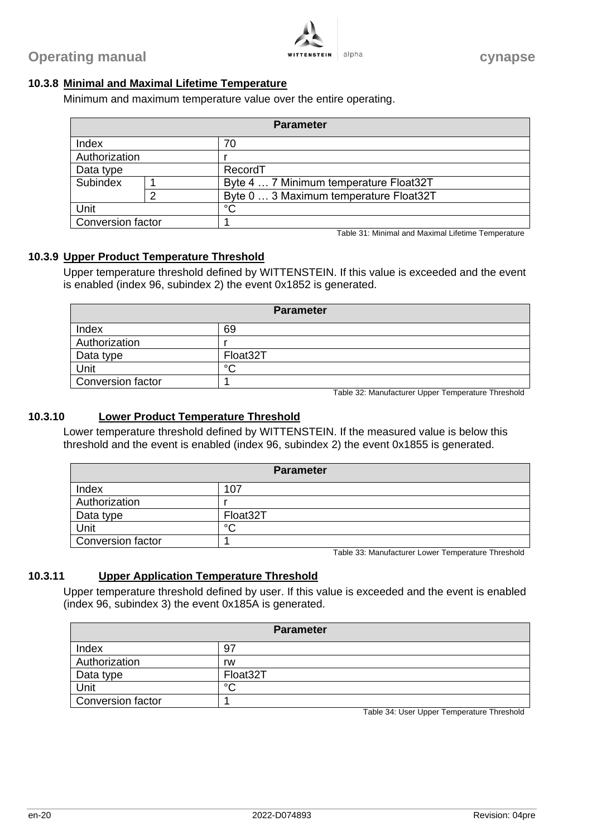

#### **10.3.8 Minimal and Maximal Lifetime Temperature**

Minimum and maximum temperature value over the entire operating.

| <b>Parameter</b>  |   |                                        |
|-------------------|---|----------------------------------------|
| Index             |   | 70                                     |
| Authorization     |   |                                        |
| Data type         |   | RecordT                                |
| Subindex          |   | Byte 4  7 Minimum temperature Float32T |
|                   | ⌒ | Byte 0  3 Maximum temperature Float32T |
| Unit              |   | °C                                     |
| Conversion factor |   |                                        |

Table 31: Minimal and Maximal Lifetime Temperature

#### **10.3.9 Upper Product Temperature Threshold**

Upper temperature threshold defined by WITTENSTEIN. If this value is exceeded and the event is enabled (index 96, subindex 2) the event 0x1852 is generated.

| <b>Parameter</b>         |          |  |
|--------------------------|----------|--|
| Index                    | 69       |  |
| Authorization            |          |  |
| Data type                | Float32T |  |
| Unit                     | $\circ$  |  |
| <b>Conversion factor</b> |          |  |

Table 32: Manufacturer Upper Temperature Threshold

#### **10.3.10 Lower Product Temperature Threshold**

Lower temperature threshold defined by WITTENSTEIN. If the measured value is below this threshold and the event is enabled (index 96, subindex 2) the event 0x1855 is generated.

| <b>Parameter</b>         |          |  |
|--------------------------|----------|--|
| Index                    | 107      |  |
| Authorization            |          |  |
| Data type                | Float32T |  |
| Unit                     | $\circ$  |  |
| <b>Conversion factor</b> |          |  |

Table 33: Manufacturer Lower Temperature Threshold

#### **10.3.11 Upper Application Temperature Threshold**

Upper temperature threshold defined by user. If this value is exceeded and the event is enabled (index 96, subindex 3) the event 0x185A is generated.

| <b>Parameter</b>         |          |  |
|--------------------------|----------|--|
| Index                    | -97      |  |
| Authorization            | rw       |  |
| Data type                | Float32T |  |
| Unit                     | $\sim$   |  |
| <b>Conversion factor</b> |          |  |

Table 34: User Upper Temperature Threshold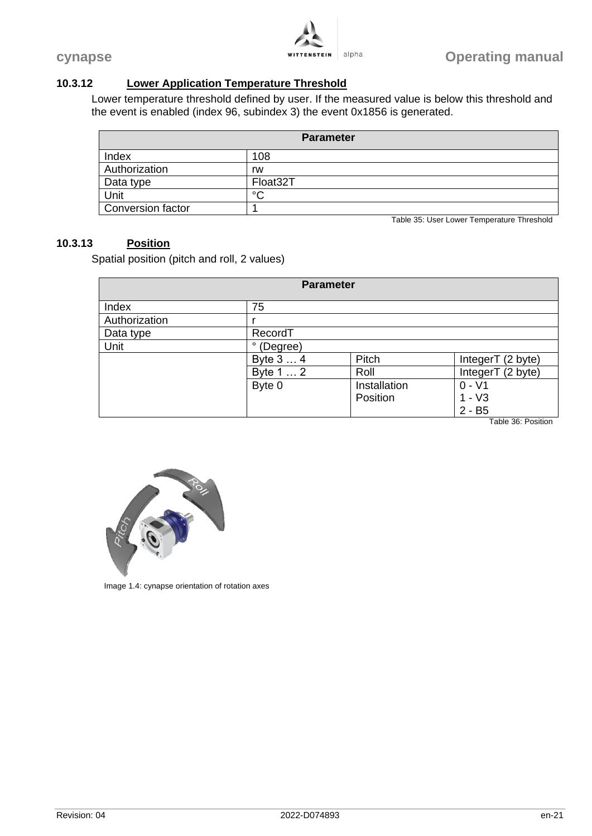

# **10.3.12 Lower Application Temperature Threshold**

Lower temperature threshold defined by user. If the measured value is below this threshold and the event is enabled (index 96, subindex 3) the event 0x1856 is generated.

| <b>Parameter</b>  |                                            |  |
|-------------------|--------------------------------------------|--|
| Index             | 108                                        |  |
| Authorization     | rw                                         |  |
| Data type         | Float32T                                   |  |
| Unit              | $\sim$                                     |  |
| Conversion factor |                                            |  |
|                   | Table 35: User Lower Temperature Threshold |  |

#### **10.3.13 Position**

Spatial position (pitch and roll, 2 values)

| <b>Parameter</b> |            |              |                   |  |
|------------------|------------|--------------|-------------------|--|
| Index            | 75         |              |                   |  |
| Authorization    |            |              |                   |  |
| Data type        | RecordT    |              |                   |  |
| Unit             | ° (Degree) |              |                   |  |
|                  | Byte 3  4  | Pitch        | IntegerT (2 byte) |  |
|                  | Byte 1  2  | Roll         | IntegerT (2 byte) |  |
|                  | Byte 0     | Installation | $0 - V1$          |  |
|                  |            | Position     | $1 - V3$          |  |
|                  |            |              | $2 - B5$          |  |

Table 36: Position



Image 1.4: cynapse orientation of rotation axes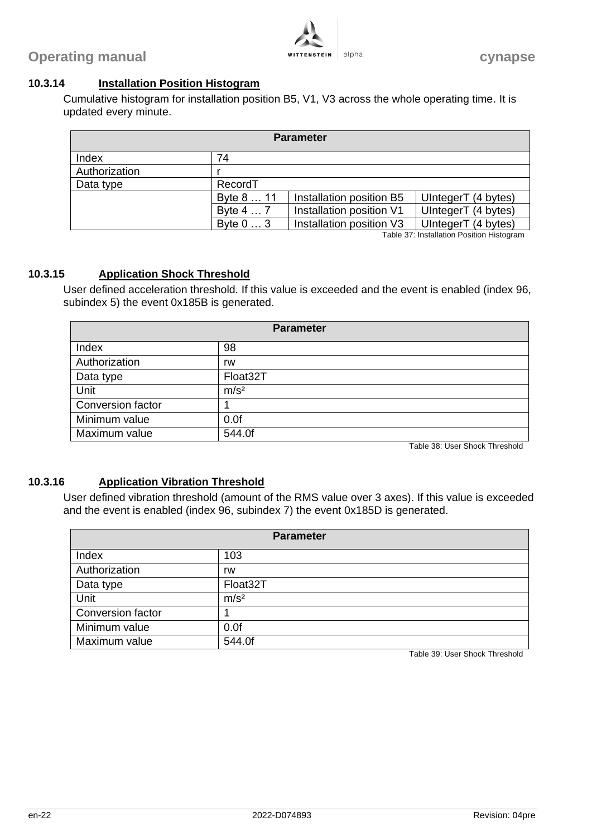

#### **10.3.14 Installation Position Histogram**

Cumulative histogram for installation position B5, V1, V3 across the whole operating time. It is updated every minute.

| <b>Parameter</b> |                   |                          |                     |  |
|------------------|-------------------|--------------------------|---------------------|--|
| Index            | 74                |                          |                     |  |
| Authorization    |                   |                          |                     |  |
| Data type        | RecordT           |                          |                     |  |
|                  | Byte 8  11        | Installation position B5 | UIntegerT (4 bytes) |  |
|                  | Byte 4  7         | Installation position V1 | UIntegerT (4 bytes) |  |
|                  | Byte $0 \ldots 3$ | Installation position V3 | UIntegerT (4 bytes) |  |

Table 37: Installation Position Histogram

#### **10.3.15 Application Shock Threshold**

User defined acceleration threshold. If this value is exceeded and the event is enabled (index 96, subindex 5) the event 0x185B is generated.

| <b>Parameter</b>         |                  |  |
|--------------------------|------------------|--|
| Index                    | 98               |  |
| Authorization            | rw               |  |
| Data type                | Float32T         |  |
| Unit                     | m/s <sup>2</sup> |  |
| <b>Conversion factor</b> |                  |  |
| Minimum value            | 0.0f             |  |
| Maximum value            | 544.0f           |  |

Table 38: User Shock Threshold

#### **10.3.16 Application Vibration Threshold**

User defined vibration threshold (amount of the RMS value over 3 axes). If this value is exceeded and the event is enabled (index 96, subindex 7) the event 0x185D is generated.

| <b>Parameter</b>  |                  |  |
|-------------------|------------------|--|
| Index             | 103              |  |
| Authorization     | rw               |  |
| Data type         | Float32T         |  |
| Unit              | m/s <sup>2</sup> |  |
| Conversion factor |                  |  |
| Minimum value     | 0.0f             |  |
| Maximum value     | 544.0f           |  |

Table 39: User Shock Threshold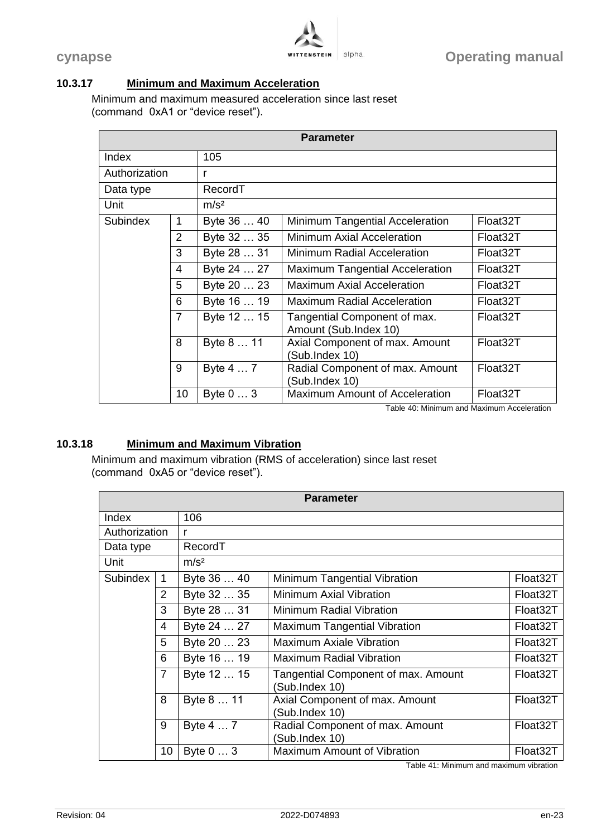

# <span id="page-24-0"></span>**10.3.17 Minimum and Maximum Acceleration**

Minimum and maximum measured acceleration since last reset (command 0xA1 or "device reset").

| <b>Parameter</b> |                |                  |                                                       |          |  |
|------------------|----------------|------------------|-------------------------------------------------------|----------|--|
| Index            |                | 105              |                                                       |          |  |
| Authorization    |                | r                |                                                       |          |  |
| Data type        |                | RecordT          |                                                       |          |  |
| Unit             |                | m/s <sup>2</sup> |                                                       |          |  |
| Subindex         | 1              | Byte 36  40      | Minimum Tangential Acceleration                       | Float32T |  |
|                  | $\overline{2}$ | Byte 32  35      | Minimum Axial Acceleration                            | Float32T |  |
|                  | 3              | Byte 28  31      | <b>Minimum Radial Acceleration</b>                    | Float32T |  |
|                  | 4              | Byte 24  27      | <b>Maximum Tangential Acceleration</b>                | Float32T |  |
|                  | 5              | Byte 20  23      | <b>Maximum Axial Acceleration</b>                     | Float32T |  |
|                  | 6              | Byte 16  19      | <b>Maximum Radial Acceleration</b>                    | Float32T |  |
|                  | $\overline{7}$ | Byte 12  15      | Tangential Component of max.<br>Amount (Sub.Index 10) | Float32T |  |
|                  | 8              | Byte 8  11       | Axial Component of max. Amount<br>(Sub.Index 10)      | Float32T |  |
|                  | 9              | Byte 4  7        | Radial Component of max. Amount<br>(Sub.Index 10)     | Float32T |  |
|                  | 10             | Byte 0  3        | <b>Maximum Amount of Acceleration</b>                 | Float32T |  |

Table 40: Minimum and Maximum Acceleration

#### <span id="page-24-1"></span>**10.3.18 Minimum and Maximum Vibration**

Minimum and maximum vibration (RMS of acceleration) since last reset (command 0xA5 or "device reset").

|               |                |                  | <b>Parameter</b>                                      |          |
|---------------|----------------|------------------|-------------------------------------------------------|----------|
| Index         |                | 106              |                                                       |          |
| Authorization |                | r                |                                                       |          |
| Data type     |                | RecordT          |                                                       |          |
| Unit          |                | m/s <sup>2</sup> |                                                       |          |
| Subindex      | $\mathbf 1$    | Byte 36  40      | Minimum Tangential Vibration                          | Float32T |
|               | $\overline{2}$ | Byte 32  35      | <b>Minimum Axial Vibration</b>                        | Float32T |
|               | 3              | Byte 28  31      | Minimum Radial Vibration                              | Float32T |
|               | 4              | Byte 24  27      | <b>Maximum Tangential Vibration</b>                   | Float32T |
|               | 5              | Byte 20  23      | <b>Maximum Axiale Vibration</b>                       | Float32T |
|               | 6              | Byte 16  19      | <b>Maximum Radial Vibration</b>                       | Float32T |
|               | $\overline{7}$ | Byte 12  15      | Tangential Component of max. Amount<br>(Sub.Index 10) | Float32T |
|               | 8              | Byte 8  11       | Axial Component of max. Amount<br>(Sub.Index 10)      | Float32T |
|               | 9              | Byte 4  7        | Radial Component of max. Amount<br>(Sub.Index 10)     | Float32T |
|               | 10             | Byte 0  3        | Maximum Amount of Vibration                           | Float32T |

Table 41: Minimum and maximum vibration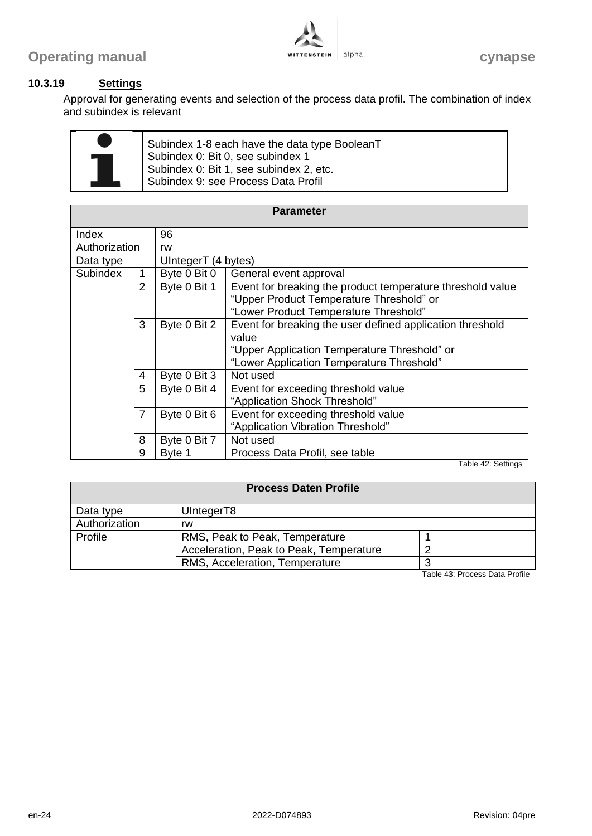

# **10.3.19 Settings**

Approval for generating events and selection of the process data profil. The combination of index and subindex is relevant

Subindex 1-8 each have the data type BooleanT Subindex 0: Bit 0, see subindex 1 Subindex 0: Bit 1, see subindex 2, etc. Subindex 9: see Process Data Profil

| <b>Parameter</b> |                |                     |                                                            |  |  |
|------------------|----------------|---------------------|------------------------------------------------------------|--|--|
| Index            |                | 96                  |                                                            |  |  |
| Authorization    |                | rw                  |                                                            |  |  |
| Data type        |                | UIntegerT (4 bytes) |                                                            |  |  |
| <b>Subindex</b>  | 1              | Byte 0 Bit 0        | General event approval                                     |  |  |
|                  | 2              | Byte 0 Bit 1        | Event for breaking the product temperature threshold value |  |  |
|                  |                |                     | "Upper Product Temperature Threshold" or                   |  |  |
|                  |                |                     | "Lower Product Temperature Threshold"                      |  |  |
|                  | 3              | Byte 0 Bit 2        | Event for breaking the user defined application threshold  |  |  |
|                  |                |                     | value                                                      |  |  |
|                  |                |                     | "Upper Application Temperature Threshold" or               |  |  |
|                  |                |                     | "Lower Application Temperature Threshold"                  |  |  |
|                  | 4              | Byte 0 Bit 3        | Not used                                                   |  |  |
|                  | 5              | Byte 0 Bit 4        | Event for exceeding threshold value                        |  |  |
|                  |                |                     | "Application Shock Threshold"                              |  |  |
|                  | $\overline{7}$ | Byte 0 Bit 6        | Event for exceeding threshold value                        |  |  |
|                  |                |                     | "Application Vibration Threshold"                          |  |  |
|                  | 8              | Byte 0 Bit 7        | Not used                                                   |  |  |
|                  | 9              | Byte 1              | Process Data Profil, see table                             |  |  |

Table 42: Settings

| <b>Process Daten Profile</b> |                                         |  |  |  |  |
|------------------------------|-----------------------------------------|--|--|--|--|
| UIntegerT8<br>Data type      |                                         |  |  |  |  |
| Authorization                | rw                                      |  |  |  |  |
| Profile                      | RMS, Peak to Peak, Temperature          |  |  |  |  |
|                              | Acceleration, Peak to Peak, Temperature |  |  |  |  |
|                              | RMS, Acceleration, Temperature          |  |  |  |  |

Table 43: Process Data Profile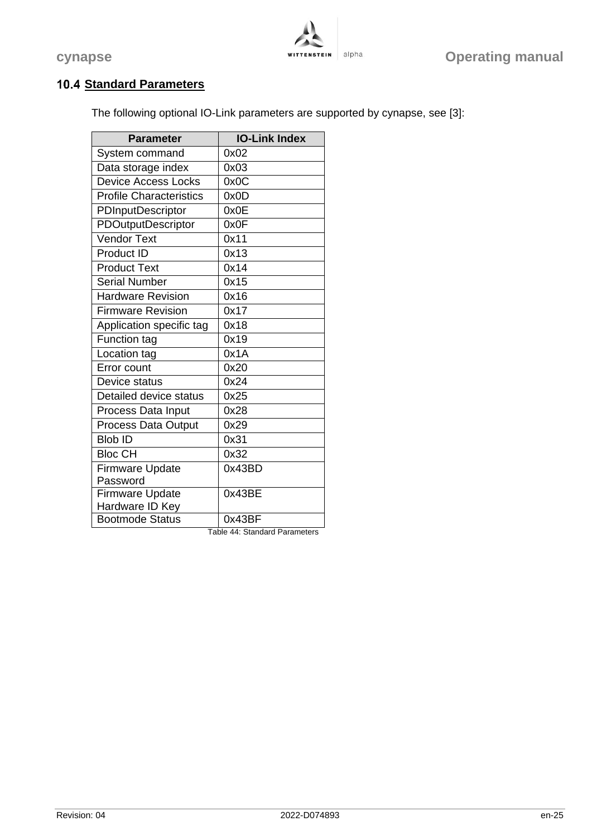

# **10.4 Standard Parameters**

The following optional IO-Link parameters are supported by cynapse, see [3]:

| <b>Parameter</b>               | <b>IO-Link Index</b> |
|--------------------------------|----------------------|
| System command                 | 0x02                 |
| Data storage index             | 0x03                 |
| <b>Device Access Locks</b>     | 0x0C                 |
| <b>Profile Characteristics</b> | 0x0D                 |
| PDInputDescriptor              | 0x0E                 |
| PDOutputDescriptor             | 0x0F                 |
| <b>Vendor Text</b>             | 0x11                 |
| Product ID                     | 0x13                 |
| <b>Product Text</b>            | 0x14                 |
| <b>Serial Number</b>           | 0x15                 |
| <b>Hardware Revision</b>       | 0x16                 |
| <b>Firmware Revision</b>       | 0x17                 |
| Application specific tag       | 0x18                 |
| <b>Function tag</b>            | 0x19                 |
| Location tag                   | 0x1A                 |
| Error count                    | 0x20                 |
| Device status                  | 0x24                 |
| Detailed device status         | 0x25                 |
| Process Data Input             | 0x28                 |
| <b>Process Data Output</b>     | 0x29                 |
| <b>Blob ID</b>                 | 0x31                 |
| <b>Bloc CH</b>                 | 0x32                 |
| <b>Firmware Update</b>         | 0x43BD               |
| Password                       |                      |
| <b>Firmware Update</b>         | 0x43BE               |
| Hardware ID Key                |                      |
| <b>Bootmode Status</b>         | 0x43BF               |

Table 44: Standard Parameters